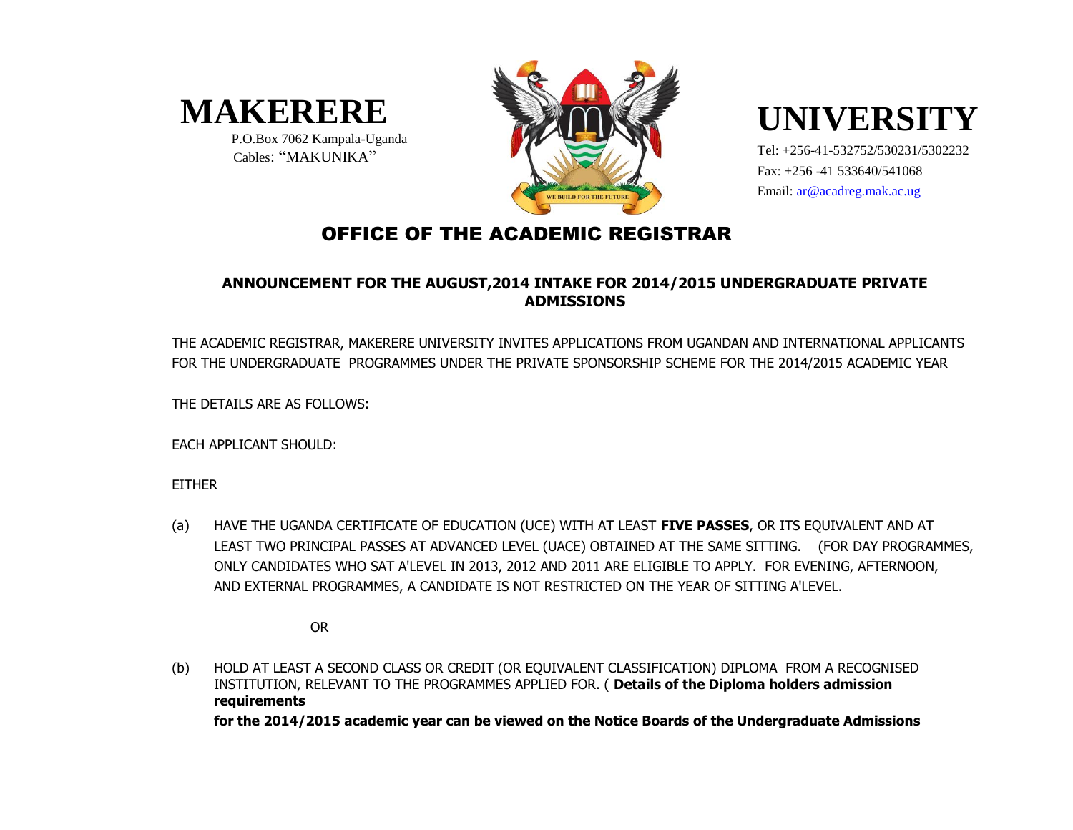

 P.O.Box 7062 Kampala-Uganda Cables: "MAKUNIKA"



# **UNIVERSITY**

Tel: +256-41-532752/530231/5302232 Fax: +256 -41 533640/541068 Email: ar@acadreg.mak.ac.ug

### OFFICE OF THE ACADEMIC REGISTRAR

#### **ANNOUNCEMENT FOR THE AUGUST,2014 INTAKE FOR 2014/2015 UNDERGRADUATE PRIVATE ADMISSIONS**

THE ACADEMIC REGISTRAR, MAKERERE UNIVERSITY INVITES APPLICATIONS FROM UGANDAN AND INTERNATIONAL APPLICANTS FOR THE UNDERGRADUATE PROGRAMMES UNDER THE PRIVATE SPONSORSHIP SCHEME FOR THE 2014/2015 ACADEMIC YEAR

THE DETAILS ARE AS FOLLOWS:

EACH APPLICANT SHOULD:

EITHER

(a) HAVE THE UGANDA CERTIFICATE OF EDUCATION (UCE) WITH AT LEAST **FIVE PASSES**, OR ITS EQUIVALENT AND AT LEAST TWO PRINCIPAL PASSES AT ADVANCED LEVEL (UACE) OBTAINED AT THE SAME SITTING. (FOR DAY PROGRAMMES, ONLY CANDIDATES WHO SAT A'LEVEL IN 2013, 2012 AND 2011 ARE ELIGIBLE TO APPLY. FOR EVENING, AFTERNOON, AND EXTERNAL PROGRAMMES, A CANDIDATE IS NOT RESTRICTED ON THE YEAR OF SITTING A'LEVEL.

OR

(b) HOLD AT LEAST A SECOND CLASS OR CREDIT (OR EQUIVALENT CLASSIFICATION) DIPLOMA FROM A RECOGNISED INSTITUTION, RELEVANT TO THE PROGRAMMES APPLIED FOR. ( **Details of the Diploma holders admission requirements**

**for the 2014/2015 academic year can be viewed on the Notice Boards of the Undergraduate Admissions**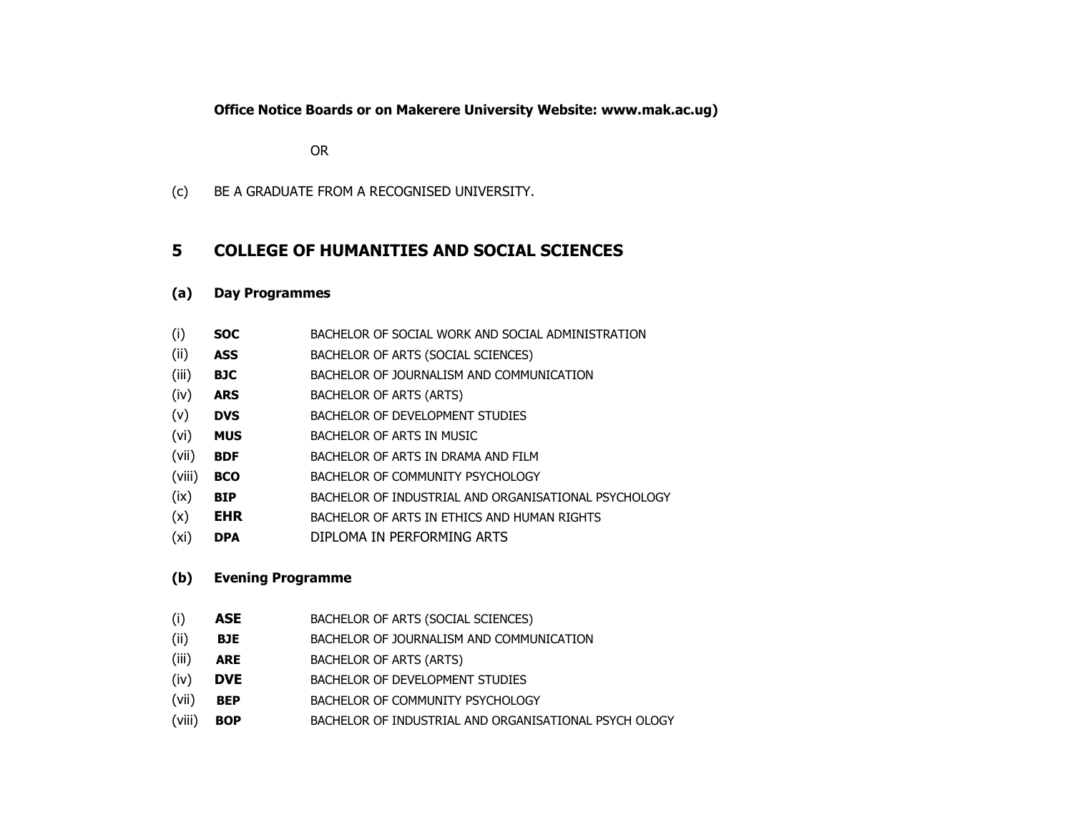**Office Notice Boards or on Makerere University Website: www.mak.ac.ug)**

OR

(c) BE A GRADUATE FROM A RECOGNISED UNIVERSITY.

#### **5 COLLEGE OF HUMANITIES AND SOCIAL SCIENCES**

#### **(a) Day Programmes**

- (i) **SOC** BACHELOR OF SOCIAL WORK AND SOCIAL ADMINISTRATION
- (ii) **ASS** BACHELOR OF ARTS (SOCIAL SCIENCES)
- (iii) **BJC** BACHELOR OF JOURNALISM AND COMMUNICATION
- (iv) **ARS** BACHELOR OF ARTS (ARTS)
- (v) **DVS** BACHELOR OF DEVELOPMENT STUDIES
- (vi) **MUS** BACHELOR OF ARTS IN MUSIC
- (vii) **BDF** BACHELOR OF ARTS IN DRAMA AND FILM
- (viii) **BCO** BACHELOR OF COMMUNITY PSYCHOLOGY
- (ix) **BIP** BACHELOR OF INDUSTRIAL AND ORGANISATIONAL PSYCHOLOGY
- (x) **EHR** BACHELOR OF ARTS IN ETHICS AND HUMAN RIGHTS
- (xi) **DPA** DIPLOMA IN PERFORMING ARTS

#### **(b) Evening Programme**

- (i) **ASE** BACHELOR OF ARTS (SOCIAL SCIENCES)
- (ii) **BJE** BACHELOR OF JOURNALISM AND COMMUNICATION
- (iii) **ARE** BACHELOR OF ARTS (ARTS)
- (iv) **DVE** BACHELOR OF DEVELOPMENT STUDIES
- (vii) **BEP** BACHELOR OF COMMUNITY PSYCHOLOGY
- (viii) **BOP** BACHELOR OF INDUSTRIAL AND ORGANISATIONAL PSYCH OLOGY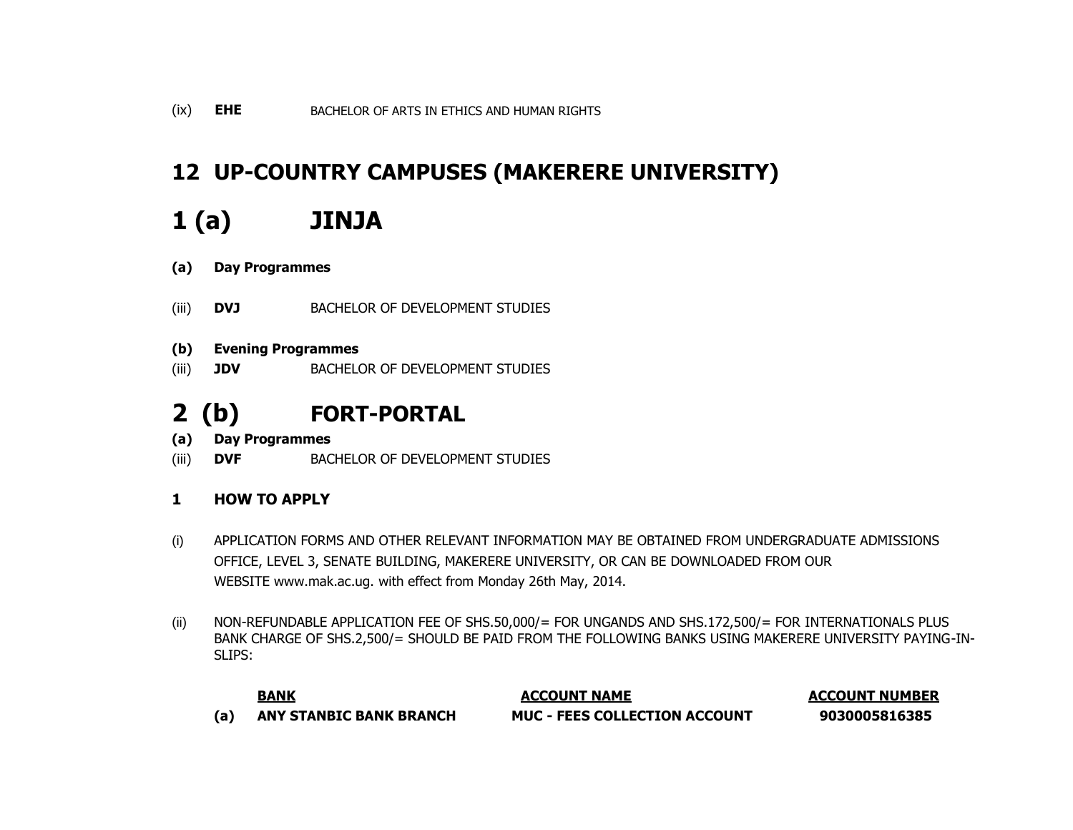### **12 UP-COUNTRY CAMPUSES (MAKERERE UNIVERSITY)**

## **1 (a) JINJA**

- **(a) Day Programmes**
- (iii) **DVJ** BACHELOR OF DEVELOPMENT STUDIES
- **(b) Evening Programmes**
- (iii) **JDV** BACHELOR OF DEVELOPMENT STUDIES

### **2 (b) FORT-PORTAL**

- **(a) Day Programmes**
- (iii) **DVF** BACHELOR OF DEVELOPMENT STUDIES
- **1 HOW TO APPLY**
- (i) APPLICATION FORMS AND OTHER RELEVANT INFORMATION MAY BE OBTAINED FROM UNDERGRADUATE ADMISSIONS OFFICE, LEVEL 3, SENATE BUILDING, MAKERERE UNIVERSITY, OR CAN BE DOWNLOADED FROM OUR WEBSITE www.mak.ac.ug. with effect from Monday 26th May, 2014.
- (ii) NON-REFUNDABLE APPLICATION FEE OF SHS.50,000/= FOR UNGANDS AND SHS.172,500/= FOR INTERNATIONALS PLUS BANK CHARGE OF SHS.2,500/= SHOULD BE PAID FROM THE FOLLOWING BANKS USING MAKERERE UNIVERSITY PAYING-IN-SLIPS:

| BANK<br>____                   | <b>ACCOUNT NAME</b>                  | <b>ACCOUNT NUMBER</b> |
|--------------------------------|--------------------------------------|-----------------------|
| <b>ANY STANBIC BANK BRANCH</b> | <b>MUC - FEES COLLECTION ACCOUNT</b> | 9030005816385         |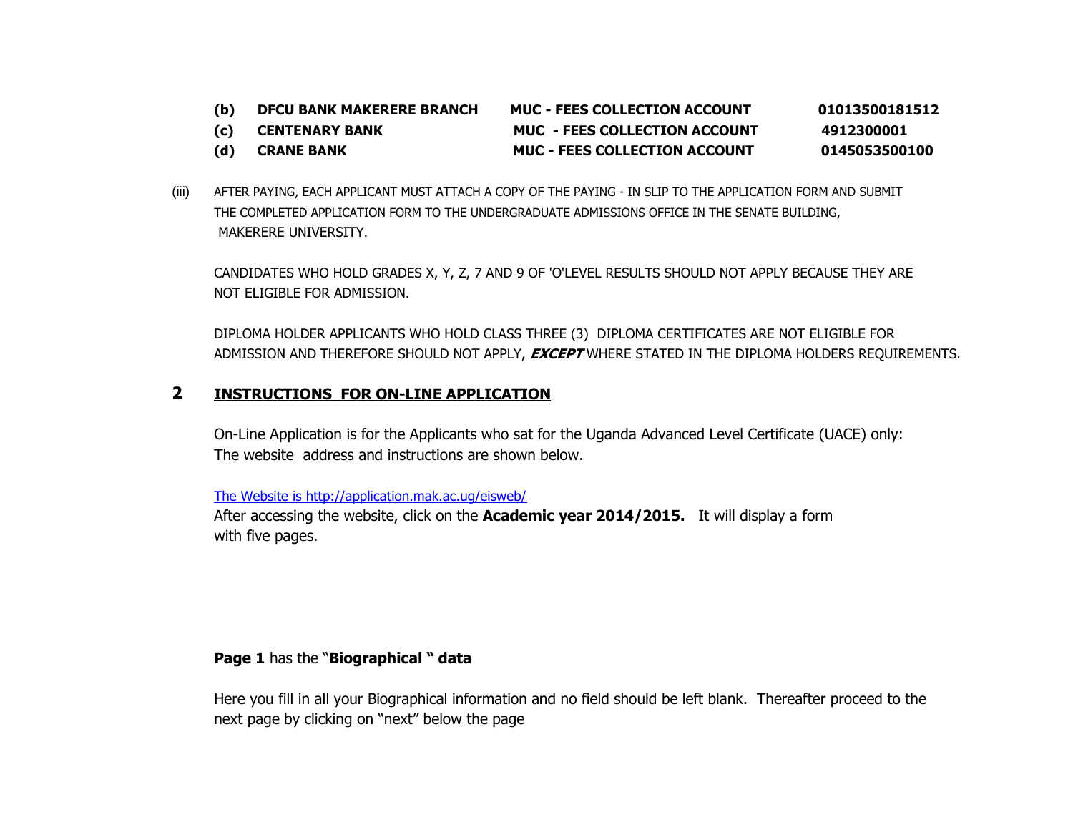**(b) DFCU BANK MAKERERE BRANCH MUC - FEES COLLECTION ACCOUNT 01013500181512**

**(c) CENTENARY BANK MUC - FEES COLLECTION ACCOUNT 4912300001**

- **(d) CRANE BANK MUC - FEES COLLECTION ACCOUNT 0145053500100**
- (iii) AFTER PAYING, EACH APPLICANT MUST ATTACH A COPY OF THE PAYING IN SLIP TO THE APPLICATION FORM AND SUBMIT THE COMPLETED APPLICATION FORM TO THE UNDERGRADUATE ADMISSIONS OFFICE IN THE SENATE BUILDING, MAKERERE UNIVERSITY.

CANDIDATES WHO HOLD GRADES X, Y, Z, 7 AND 9 OF 'O'LEVEL RESULTS SHOULD NOT APPLY BECAUSE THEY ARE NOT ELIGIBLE FOR ADMISSION.

DIPLOMA HOLDER APPLICANTS WHO HOLD CLASS THREE (3) DIPLOMA CERTIFICATES ARE NOT ELIGIBLE FOR ADMISSION AND THEREFORE SHOULD NOT APPLY, **EXCEPT** WHERE STATED IN THE DIPLOMA HOLDERS REQUIREMENTS.

#### **2 INSTRUCTIONS FOR ON-LINE APPLICATION**

On-Line Application is for the Applicants who sat for the Uganda Advanced Level Certificate (UACE) only: The website address and instructions are shown below.

[The Website is http://application.mak.ac.ug/eisweb/](http://application.mak.ac.ug/eisweb/)

After accessing the website, click on the **Academic year 2014/2015.** It will display a form with five pages.

#### **Page 1** has the "**Biographical " data**

Here you fill in all your Biographical information and no field should be left blank. Thereafter proceed to the next page by clicking on "next" below the page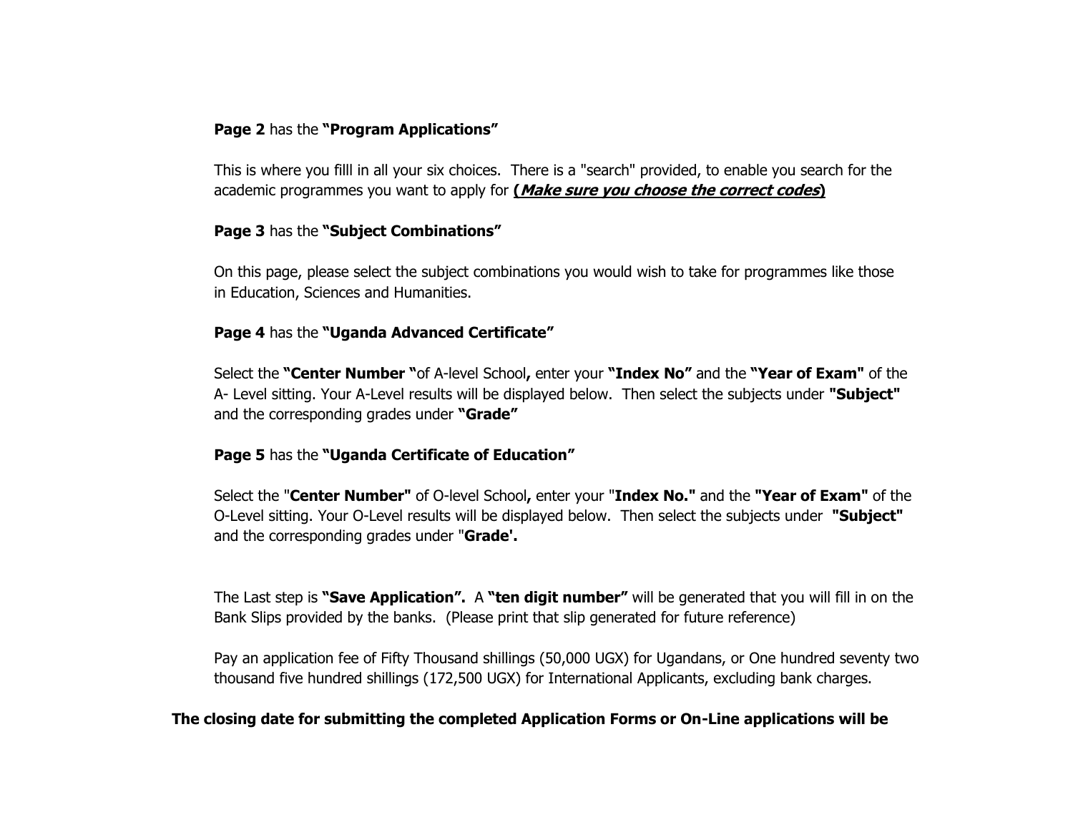#### **Page 2** has the **"Program Applications"**

This is where you filll in all your six choices. There is a "search" provided, to enable you search for the academic programmes you want to apply for **(Make sure you choose the correct codes)**

#### **Page 3** has the **"Subject Combinations"**

On this page, please select the subject combinations you would wish to take for programmes like those in Education, Sciences and Humanities.

#### **Page 4** has the **"Uganda Advanced Certificate"**

Select the **"Center Number "**of A-level School**,** enter your **"Index No"** and the **"Year of Exam"** of the A- Level sitting. Your A-Level results will be displayed below. Then select the subjects under **"Subject"** and the corresponding grades under **"Grade"**

#### **Page 5** has the **"Uganda Certificate of Education"**

Select the "**Center Number"** of O-level School**,** enter your "**Index No."** and the **"Year of Exam"** of the O-Level sitting. Your O-Level results will be displayed below. Then select the subjects under **"Subject"** and the corresponding grades under "**Grade'.**

The Last step is **"Save Application".** A **"ten digit number"** will be generated that you will fill in on the Bank Slips provided by the banks. (Please print that slip generated for future reference)

Pay an application fee of Fifty Thousand shillings (50,000 UGX) for Ugandans, or One hundred seventy two thousand five hundred shillings (172,500 UGX) for International Applicants, excluding bank charges.

#### **The closing date for submitting the completed Application Forms or On-Line applications will be**